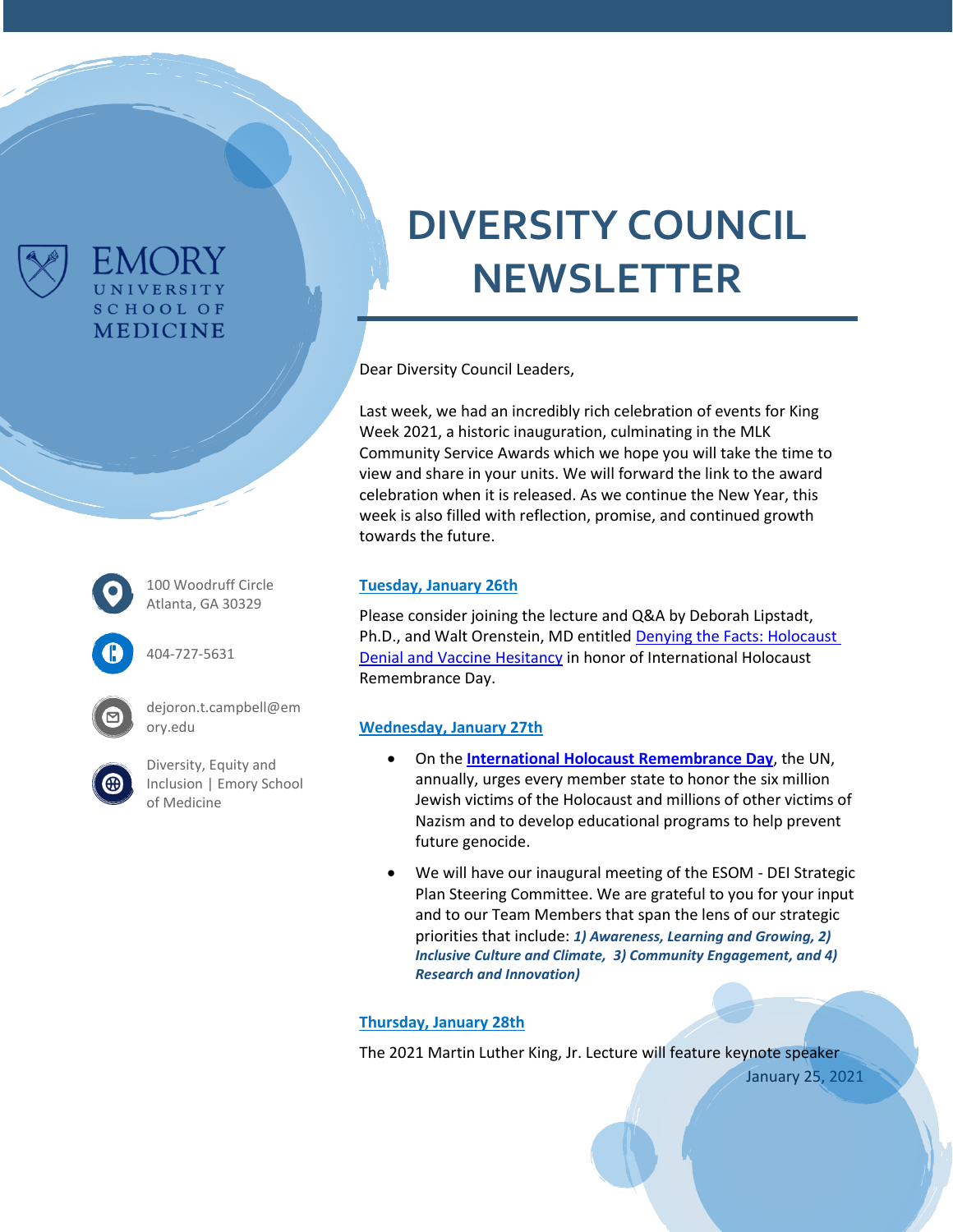

# **DIVERSITY COUNCIL NEWSLETTER**

Dear Diversity Council Leaders,

Last week, we had an incredibly rich celebration of events for King Week 2021, a historic inauguration, culminating in the MLK Community Service Awards which we hope you will take the time to view and share in your units. We will forward the link to the award celebration when it is released. As we continue the New Year, this week is also filled with reflection, promise, and continued growth towards the future.

#### 100 Woodruff Circle Atlanta, GA 30329

404-727-5631

EMC JRY UNIVERSITY **SCHOOL OF MEDICINE** 

dejoron.t.campbell@em ory.edu



[Diversity, Equity and](https://www.med.emory.edu/about/diversity/index.html)  [Inclusion | Emory School](https://www.med.emory.edu/about/diversity/index.html)  [of Medicine](https://www.med.emory.edu/about/diversity/index.html)

#### **Tuesday, January 26th**

Please consider joining the lecture and Q&A by Deborah Lipstadt, Ph.D., and Walt Orenstein, MD entitled [Denying the Facts: Holocaust](https://med.emory.edu/about/events/lipstadt-jan26.html)  [Denial and Vaccine Hesitancy](https://med.emory.edu/about/events/lipstadt-jan26.html) in honor of International Holocaust Remembrance Day.

### **Wednesday, January 27th**

- On the **[International Holocaust Remembrance Day](https://nam11.safelinks.protection.outlook.com/?url=https%3A%2F%2Fwww.ushmm.org%2Fremember%2Finternational-holocaust-remembrance-day&data=04%7C01%7Cdejoron.t.campbell%40emory.edu%7Cf9a808656d3b464040ec08d8c0adccad%7Ce004fb9cb0a4424fbcd0322606d5df38%7C0%7C0%7C637471199990338326%7CUnknown%7CTWFpbGZsb3d8eyJWIjoiMC4wLjAwMDAiLCJQIjoiV2luMzIiLCJBTiI6Ik1haWwiLCJXVCI6Mn0%3D%7C1000&sdata=RE4zwQ%2Fw%2BC07hUJ3%2FRCMmnOIBb4e5pNwCMdWpy4Obqk%3D&reserved=0)**, the UN, annually, urges every member state to honor the six million Jewish victims of the Holocaust and millions of other victims of Nazism and to develop educational programs to help prevent future genocide.
- We will have our inaugural meeting of the ESOM DEI Strategic Plan Steering Committee. We are grateful to you for your input and to our Team Members that span the lens of our strategic priorities that include: *1) Awareness, Learning and Growing, 2) Inclusive Culture and Climate, 3) Community Engagement, and 4) Research and Innovation)*

### **Thursday, January 28th**

The 2021 Martin Luther King, Jr. Lecture will feature keynote speaker

January 25, 2021